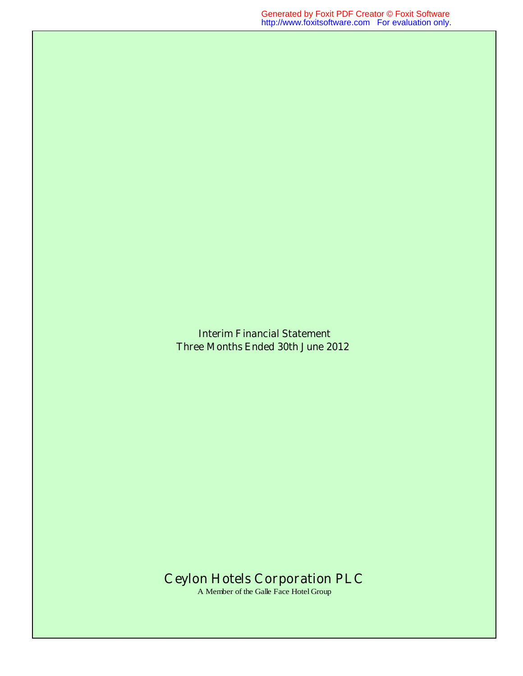**Interim Financial Statement Three Months Ended 30th June 2012** 

# **Ceylon Hotels Corporation PLC**

A Member of the Galle Face Hotel Group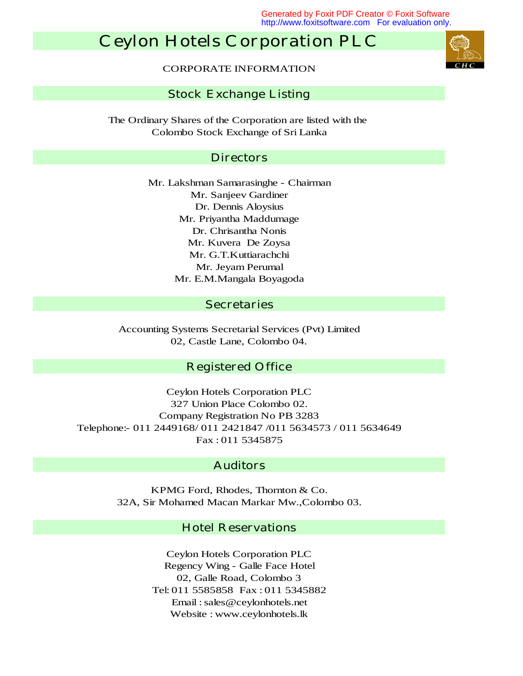Generated by Foxit PDF Creator © Foxit Software http://www.foxitsoftware.com For evaluation only.

# **Ceylon Hotels Corporation PLC**

CORPORATE INFORMATION

#### **Stock Exchange Listing**

Colombo Stock Exchange of Sri Lanka The Ordinary Shares of the Corporation are listed with the

#### **Directors**

Dr. Dennis Aloysius Mr. E.M.Mangala Boyagoda Mr. G.T.Kuttiarachchi Mr. Jeyam Perumal Mr. Lakshman Samarasinghe - Chairman Mr. Kuvera De Zoysa Mr. Priyantha Maddumage Dr. Chrisantha Nonis Mr. Sanjeev Gardiner

#### **Secretaries**

Accounting Systems Secretarial Services (Pvt) Limited 02, Castle Lane, Colombo 04.

### **Registered Office**

Fax : 011 5345875 Telephone:- 011 2449168/ 011 2421847 /011 5634573 / 011 5634649 327 Union Place Colombo 02. Company Registration No PB 3283 Ceylon Hotels Corporation PLC

### **Auditors**

KPMG Ford, Rhodes, Thornton & Co. 32A, Sir Mohamed Macan Markar Mw.,Colombo 03.

### **Hotel Reservations**

Website : www.ceylonhotels.lk Ceylon Hotels Corporation PLC Regency Wing - Galle Face Hotel 02, Galle Road, Colombo 3 Tel: 011 5585858 Fax : 011 5345882 Email : sales@ceylonhotels.net

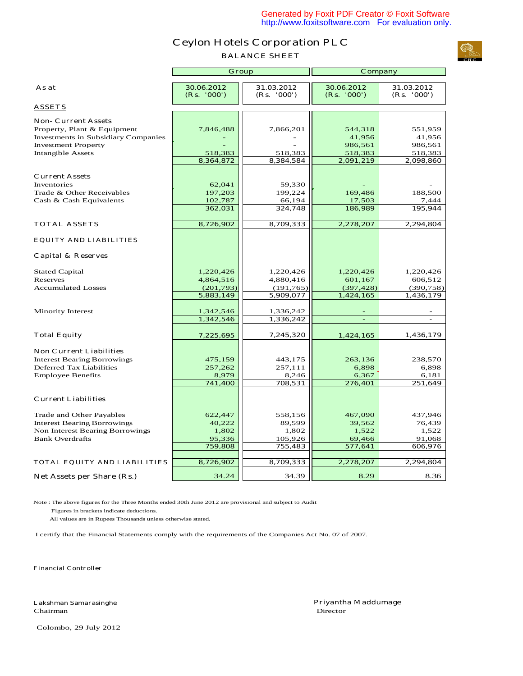**BALANCE SHEET**



|                                                                          | <b>Group</b>              |                           | <b>Company</b>            |                           |  |
|--------------------------------------------------------------------------|---------------------------|---------------------------|---------------------------|---------------------------|--|
| As at                                                                    | 30.06.2012<br>(Rs. '000') | 31.03.2012<br>(Rs. '000') | 30.06.2012<br>(Rs. '000') | 31.03.2012<br>(Rs. '000') |  |
| <b>ASSETS</b>                                                            |                           |                           |                           |                           |  |
| <b>Non- Current Assets</b><br>Property, Plant & Equipment                | 7,846,488                 | 7,866,201                 | 544,318                   | 551,959                   |  |
| <b>Investments in Subsidiary Companies</b><br><b>Investment Property</b> |                           |                           | 41,956<br>986,561         | 41,956<br>986,561         |  |
| <b>Intangible Assets</b>                                                 | 518,383                   | 518,383                   | 518,383                   | 518,383                   |  |
|                                                                          | 8,364,872                 | 8,384,584                 | 2,091,219                 | 2,098,860                 |  |
|                                                                          |                           |                           |                           |                           |  |
| <b>Current Assets</b><br>Inventories                                     | 62,041                    | 59,330                    |                           |                           |  |
| Trade & Other Receivables                                                | 197,203                   | 199,224                   | 169,486                   | 188,500                   |  |
| Cash & Cash Equivalents                                                  | 102,787                   | 66,194                    | 17,503                    | 7,444                     |  |
|                                                                          | 362,031                   | 324,748                   | 186,989                   | 195,944                   |  |
| <b>TOTAL ASSETS</b>                                                      | 8,726,902                 | 8,709,333                 | 2,278,207                 | 2,294,804                 |  |
| <b>EQUITY AND LIABILITIES</b>                                            |                           |                           |                           |                           |  |
| <b>Capital &amp; Reserves</b>                                            |                           |                           |                           |                           |  |
| <b>Stated Capital</b>                                                    | 1,220,426                 | 1,220,426                 | 1,220,426                 | 1,220,426                 |  |
| Reserves                                                                 | 4,864,516                 | 4,880,416                 | 601,167                   | 606,512                   |  |
| <b>Accumulated Losses</b>                                                | (201, 793)                | (191, 765)                | (397, 428)                | (390, 758)                |  |
|                                                                          | 5,883,149                 | 5,909,077                 | 1,424,165                 | 1,436,179                 |  |
| <b>Minority Interest</b>                                                 | 1,342,546                 | 1,336,242                 |                           |                           |  |
|                                                                          | 1,342,546                 | 1,336,242                 | ٠                         | $\blacksquare$            |  |
|                                                                          |                           |                           |                           |                           |  |
| <b>Total Equity</b>                                                      | 7,225,695                 | 7,245,320                 | 1,424,165                 | 1,436,179                 |  |
| <b>Non Current Liabilities</b>                                           |                           |                           |                           |                           |  |
| <b>Interest Bearing Borrowings</b>                                       | 475,159                   | 443,175                   | 263,136                   | 238,570                   |  |
| <b>Deferred Tax Liabilities</b>                                          | 257,262                   | 257,111                   | 6,898                     | 6,898                     |  |
| <b>Employee Benefits</b>                                                 | 8,979<br>741,400          | 8,246<br>708,531          | 6,367<br>276,401          | 6,181<br>251,649          |  |
| <b>Current Liabilities</b>                                               |                           |                           |                           |                           |  |
|                                                                          |                           |                           |                           |                           |  |
| Trade and Other Payables                                                 | 622,447                   | 558,156                   | 467,090                   | 437,946                   |  |
| <b>Interest Bearing Borrowings</b>                                       | 40,222                    | 89,599                    | 39,562                    | 76,439                    |  |
| Non Interest Bearing Borrowings                                          | 1,802                     | 1,802                     | 1,522                     | 1,522                     |  |
| <b>Bank Overdrafts</b>                                                   | 95,336<br>759,808         | 105,926<br>755,483        | 69,466<br>577,641         | 91,068<br>606,976         |  |
|                                                                          |                           |                           |                           |                           |  |
| <b>TOTAL EQUITY AND LIABILITIES</b>                                      | 8,726,902                 | 8,709,333                 | 2,278,207                 | 2,294,804                 |  |
| Net Assets per Share (Rs.)                                               | 34.24                     | 34.39                     | 8.29                      | 8.36                      |  |

Note : The above figures for the Three Months ended 30th June 2012 are provisional and subject to Audit

Figures in brackets indicate deductions.

All values are in Rupees Thousands unless otherwise stated.

I certify that the Financial Statements comply with the requirements of the Companies Act No. 07 of 2007.

**Financial Controller**

Chairman Director

**Lakshman Samarasinghe Priyantha Maddumage**

Colombo, 29 July 2012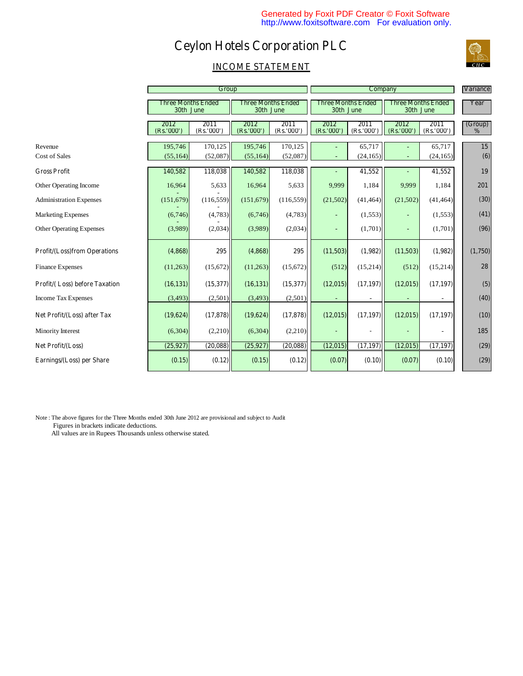

|                                     | Group                                  |                    |                                        | <b>Company</b>    |                                        |                   |                                        | <b>Variance</b>    |                          |
|-------------------------------------|----------------------------------------|--------------------|----------------------------------------|-------------------|----------------------------------------|-------------------|----------------------------------------|--------------------|--------------------------|
|                                     | <b>Three Months Ended</b><br>30th June |                    | <b>Three Months Ended</b><br>30th June |                   | <b>Three Months Ended</b><br>30th June |                   | <b>Three Months Ended</b><br>30th June |                    | Year                     |
|                                     | 2012<br>(Rs.'000'                      | 2011<br>(Rs.'000') | 2012<br>(Rs.'000')                     | 2011<br>(Rs.'000' | 2012<br>(Rs.'000'                      | 2011<br>(Rs.'000' | 2012<br>(Rs.'000'                      | 2011<br>(Rs.'000') | (Group)<br>$\frac{0}{0}$ |
| Revenue                             | 195,746                                | 170,125            | 195,746                                | 170,125           |                                        | 65,717            |                                        | 65,717             | 15                       |
| Cost of Sales                       | (55, 164)                              | (52,087)           | (55, 164)                              | (52,087)          |                                        | (24, 165)         |                                        | (24, 165)          | (6)                      |
| <b>Gross Profit</b>                 | 140,582                                | 118,038            | 140,582                                | 118,038           |                                        | 41,552            |                                        | 41,552             | 19                       |
| Other Operating Income              | 16,964                                 | 5,633              | 16,964                                 | 5,633             | 9,999                                  | 1,184             | 9,999                                  | 1,184              | 201                      |
| <b>Administration Expenses</b>      | (151, 679)                             | (116, 559)         | (151, 679)                             | (116, 559)        | (21,502)                               | (41, 464)         | (21,502)                               | (41, 464)          | (30)                     |
| <b>Marketing Expenses</b>           | (6,746)                                | (4,783)            | (6,746)                                | (4,783)           |                                        | (1, 553)          |                                        | (1,553)            | (41)                     |
| <b>Other Operating Expenses</b>     | (3,989)                                | (2,034)            | (3,989)                                | (2,034)           |                                        | (1,701)           |                                        | (1,701)            | (96)                     |
| <b>Profit/(Loss)from Operations</b> | (4, 868)                               | 295                | (4,868)                                | 295               | (11,503)                               | (1,982)           | (11,503)                               | (1,982)            | (1,750)                  |
| <b>Finance Expenses</b>             | (11,263)                               | (15,672)           | (11,263)                               | (15,672)          | (512)                                  | (15,214)          | (512)                                  | (15,214)           | 28                       |
| Profit/(Loss) before Taxation       | (16, 131)                              | (15,377)           | (16, 131)                              | (15,377)          | (12, 015)                              | (17, 197)         | (12,015)                               | (17, 197)          | (5)                      |
| <b>Income Tax Expenses</b>          | (3, 493)                               | (2,501)            | (3, 493)                               | (2,501)           |                                        |                   |                                        |                    | (40)                     |
| Net Profit/(Loss) after Tax         | (19, 624)                              | (17, 878)          | (19,624)                               | (17, 878)         | (12, 015)                              | (17, 197)         | (12,015)                               | (17, 197)          | (10)                     |
| Minority Interest                   | (6,304)                                | (2,210)            | (6,304)                                | (2,210)           |                                        |                   |                                        |                    | 185                      |
| Net Profit/(Loss)                   | (25,927)                               | (20, 088)          | (25, 927)                              | (20, 088)         | (12, 015)                              | (17, 197)         | (12,015)                               | (17, 197)          | (29)                     |
| Earnings/(Loss) per Share           | (0.15)                                 | (0.12)             | (0.15)                                 | (0.12)            | (0.07)                                 | (0.10)            | (0.07)                                 | (0.10)             | (29)                     |

Note : The above figures for the Three Months ended 30th June 2012 are provisional and subject to Audit Figures in brackets indicate deductions.

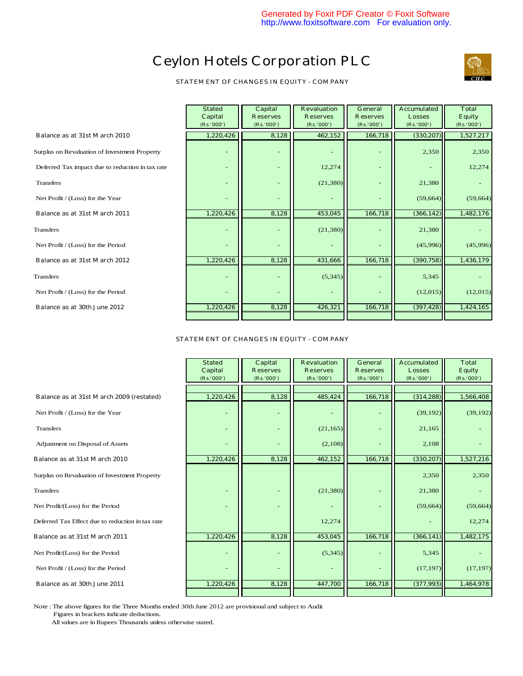

**STATEMENT OF CHANGES IN EQUITY - COMPANY**

|                                                  | <b>Stated</b><br>Capital<br>(Rs.'000') | Capital<br><b>Reserves</b><br>(Rs.'000') | <b>Revaluation</b><br><b>Reserves</b><br>(Rs.'000') | <b>General</b><br><b>Reserves</b><br>(Rs.'000') | <b>Accumulated</b><br><b>Losses</b><br>(Rs.'000') | <b>Total</b><br><b>Equity</b><br>(Rs.'000') |
|--------------------------------------------------|----------------------------------------|------------------------------------------|-----------------------------------------------------|-------------------------------------------------|---------------------------------------------------|---------------------------------------------|
| Balance as at 31st March 2010                    | 1,220,426                              | 8,128                                    | 462,152                                             | 166,718                                         | (330, 207)                                        | 1,527,217                                   |
| Surplus on Revaluation of Investment Property    |                                        |                                          |                                                     |                                                 | 2,350                                             | 2,350                                       |
| Deferred Tax impact due to reduction in tax rate | $\sim$                                 | $\overline{\phantom{0}}$                 | 12,274                                              |                                                 |                                                   | 12,274                                      |
| <b>Transfers</b>                                 |                                        |                                          | (21, 380)                                           |                                                 | 21,380                                            |                                             |
| Net Profit / (Loss) for the Year                 |                                        |                                          |                                                     |                                                 | (59, 664)                                         | (59, 664)                                   |
| Balance as at 31st March 2011                    | 1,220,426                              | 8,128                                    | 453,045                                             | 166,718                                         | (366, 142)                                        | 1,482,176                                   |
| Transfers                                        |                                        |                                          | (21, 380)                                           |                                                 | 21,380                                            |                                             |
| Net Profit / (Loss) for the Period               |                                        |                                          |                                                     |                                                 | (45,996)                                          | (45,996)                                    |
| Balance as at 31st March 2012                    | 1,220,426                              | 8,128                                    | 431,666                                             | 166,718                                         | (390, 758)                                        | 1,436,179                                   |
| <b>Transfers</b>                                 |                                        |                                          | (5,345)                                             |                                                 | 5,345                                             |                                             |
| Net Profit / (Loss) for the Period               |                                        |                                          |                                                     |                                                 | (12,015)                                          | (12,015)                                    |
| Balance as at 30th June 2012                     | 1,220,426                              | 8,128                                    | 426,321                                             | 166,718                                         | (397, 428)                                        | 1,424,165                                   |
|                                                  |                                        |                                          |                                                     |                                                 |                                                   |                                             |

#### **STATEMENT OF CHANGES IN EQUITY - COMPANY**

|                                                  | <b>Stated</b><br>Capital<br>(Rs.'000') | <b>Capital</b><br><b>Reserves</b><br>(Rs.'000') | <b>Revaluation</b><br><b>Reserves</b><br>(Rs.'000') | <b>General</b><br><b>Reserves</b><br>(Rs.'000') | <b>Accumulated</b><br><b>Losses</b><br>(Rs.'000') | <b>Total</b><br><b>Equity</b><br>(Rs.'000') |
|--------------------------------------------------|----------------------------------------|-------------------------------------------------|-----------------------------------------------------|-------------------------------------------------|---------------------------------------------------|---------------------------------------------|
| Balance as at 31st March 2009 (restated)         | 1,220,426                              | 8,128                                           | 485,424                                             | 166,718                                         | (314, 288)                                        | 1,566,408                                   |
| Net Profit / (Loss) for the Year                 | ٠                                      |                                                 |                                                     | ۰                                               | (39, 192)                                         | (39, 192)                                   |
| <b>Transfers</b>                                 |                                        |                                                 | (21, 165)                                           |                                                 | 21,165                                            |                                             |
| Adjustment on Disposal of Assets                 |                                        |                                                 | (2,108)                                             |                                                 | 2,108                                             |                                             |
| <b>Balance as at 31st March 2010</b>             | 1,220,426                              | 8,128                                           | 462,152                                             | 166,718                                         | (330, 207)                                        | 1,527,216                                   |
| Surplus on Revaluation of Investment Property    |                                        |                                                 |                                                     |                                                 | 2,350                                             | 2,350                                       |
| <b>Transfers</b>                                 |                                        |                                                 | (21, 380)                                           |                                                 | 21,380                                            |                                             |
| Net Profit/(Loss) for the Period                 |                                        |                                                 |                                                     |                                                 | (59, 664)                                         | (59, 664)                                   |
| Deferred Tax Effect due to reduction in tax rate |                                        |                                                 | 12,274                                              |                                                 |                                                   | 12,274                                      |
| Balance as at 31st March 2011                    | 1,220,426                              | 8,128                                           | 453,045                                             | 166,718                                         | (366, 141)                                        | 1,482,175                                   |
| Net Profit/(Loss) for the Period                 |                                        |                                                 | (5, 345)                                            | ۰                                               | 5,345                                             |                                             |
| Net Profit / (Loss) for the Period               |                                        |                                                 |                                                     |                                                 | (17, 197)                                         | (17, 197)                                   |
| Balance as at 30th June 2011                     | 1,220,426                              | 8,128                                           | 447,700                                             | 166,718                                         | (377,993)                                         | 1,464,978                                   |
|                                                  |                                        |                                                 |                                                     |                                                 |                                                   |                                             |

Note : The above figures for the Three Months ended 30th June 2012 are provisional and subject to Audit Figures in brackets indicate deductions.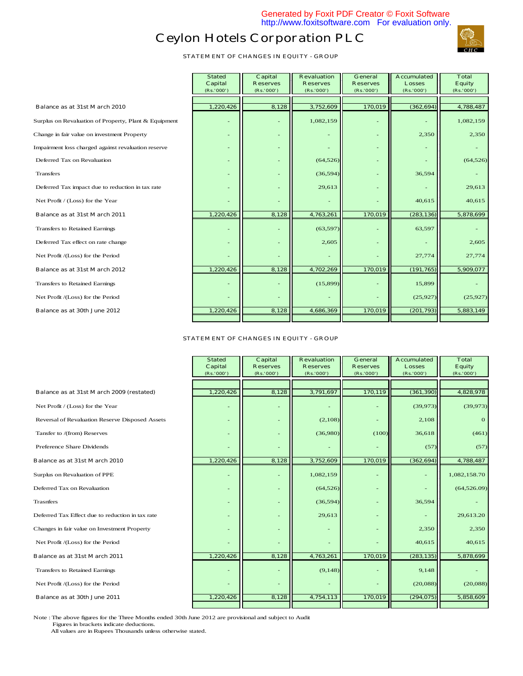

**STATEMENT OF CHANGES IN EQUITY - GROUP**

|                                                       | <b>Stated</b><br><b>Capital</b><br>(Rs. '000') | Capital<br><b>Reserves</b><br>(Rs.'000') | <b>Revaluation</b><br><b>Reserves</b><br>(Rs.'000') | General<br><b>Reserves</b><br>(Rs. '000') | <b>Accumulated</b><br><b>Losses</b><br>(Rs. '000') | <b>Total</b><br><b>Equity</b><br>(Rs.'000') |
|-------------------------------------------------------|------------------------------------------------|------------------------------------------|-----------------------------------------------------|-------------------------------------------|----------------------------------------------------|---------------------------------------------|
|                                                       |                                                |                                          |                                                     |                                           |                                                    |                                             |
| Balance as at 31st March 2010                         | 1,220,426                                      | 8,128                                    | 3,752,609                                           | 170,019                                   | (362, 694)                                         | 4,788,487                                   |
| Surplus on Revaluation of Property, Plant & Equipment | $\blacksquare$                                 | ۰                                        | 1,082,159                                           | $\blacksquare$                            | ٠                                                  | 1,082,159                                   |
| Change in fair value on investment Property           | ٠                                              | ٠                                        |                                                     | $\blacksquare$                            | 2,350                                              | 2,350                                       |
| Impairment loss charged against revaluation reserve   | ٠                                              |                                          |                                                     |                                           |                                                    |                                             |
| Deferred Tax on Revaluation                           | $\overline{\phantom{0}}$                       |                                          | (64, 526)                                           |                                           |                                                    | (64, 526)                                   |
| Transfers                                             | $\overline{\phantom{0}}$                       |                                          | (36, 594)                                           |                                           | 36,594                                             |                                             |
| Deferred Tax impact due to reduction in tax rate      |                                                |                                          | 29,613                                              |                                           |                                                    | 29.613                                      |
| Net Profit / (Loss) for the Year                      |                                                |                                          |                                                     |                                           | 40,615                                             | 40.615                                      |
| Balance as at 31st March 2011                         | 1,220,426                                      | 8,128                                    | 4,763,261                                           | 170,019                                   | (283, 136)                                         | 5,878,699                                   |
| Transfers to Retained Earnings                        | ٠                                              | ٠                                        | (63, 597)                                           |                                           | 63,597                                             |                                             |
| Deferred Tax effect on rate change                    |                                                |                                          | 2,605                                               |                                           |                                                    | 2,605                                       |
| Net Profit /(Loss) for the Period                     |                                                |                                          |                                                     |                                           | 27,774                                             | 27,774                                      |
| Balance as at 31st March 2012                         | 1,220,426                                      | 8,128                                    | 4,702,269                                           | 170,019                                   | (191, 765)                                         | 5,909,077                                   |
| Transfers to Retained Earnings                        | ٠                                              | ۰                                        | (15,899)                                            | $\blacksquare$                            | 15,899                                             |                                             |
| Net Profit /(Loss) for the Period                     |                                                | ٠                                        |                                                     |                                           | (25, 927)                                          | (25,927)                                    |
| Balance as at 30th June 2012                          | 1,220,426                                      | 8,128                                    | 4,686,369                                           | 170,019                                   | (201,793)                                          | 5,883,149                                   |
|                                                       |                                                |                                          |                                                     |                                           |                                                    |                                             |

#### **STATEMENT OF CHANGES IN EQUITY - GROUP**

|                                                  | <b>Stated</b><br><b>Capital</b><br>(Rs.'000') | Capital<br><b>Reserves</b><br>(Rs.'000') | <b>Revaluation</b><br><b>Reserves</b><br>(Rs.'000') | General<br><b>Reserves</b><br>(Rs.'000') | <b>Accumulated</b><br><b>Losses</b><br>(Rs. '000') | <b>Total</b><br><b>Equity</b><br>(Rs.'000') |
|--------------------------------------------------|-----------------------------------------------|------------------------------------------|-----------------------------------------------------|------------------------------------------|----------------------------------------------------|---------------------------------------------|
|                                                  |                                               |                                          |                                                     |                                          |                                                    |                                             |
| Balance as at 31st March 2009 (restated)         | 1,220,426                                     | 8,128                                    | 3,791,697                                           | 170,119                                  | (361, 390)                                         | 4,828,978                                   |
| Net Profit / (Loss) for the Year                 | $\overline{\phantom{a}}$                      | ٠                                        |                                                     |                                          | (39, 973)                                          | (39, 973)                                   |
| Reversal of Revaluation Reserve Disposed Assets  | $\overline{\phantom{a}}$                      | $\overline{\phantom{a}}$                 | (2,108)                                             |                                          | 2,108                                              | $\mathbf{O}$                                |
| Tansfer to /(from) Reserves                      | $\overline{\phantom{a}}$                      |                                          | (36,980)                                            | (100)                                    | 36,618                                             | (461)                                       |
| Preference Share Dividends                       |                                               |                                          |                                                     |                                          | (57)                                               | (57)                                        |
| <b>Balance as at 31st March 2010</b>             | 1,220,426                                     | 8,128                                    | 3,752,609                                           | 170,019                                  | (362, 694)                                         | 4,788,487                                   |
| Surplus on Revaluation of PPE                    | $\blacksquare$                                |                                          | 1,082,159                                           |                                          |                                                    | 1,082,158.70                                |
| Deferred Tax on Revaluation                      | $\blacksquare$                                |                                          | (64, 526)                                           |                                          |                                                    | (64,526.09)                                 |
| <b>Trasnfers</b>                                 | $\blacksquare$                                |                                          | (36,594)                                            |                                          | 36,594                                             |                                             |
| Deferred Tax Effect due to reduction in tax rate | $\blacksquare$                                |                                          | 29,613                                              |                                          |                                                    | 29,613.20                                   |
| Changes in fair value on Investment Property     | $\overline{\phantom{a}}$                      |                                          |                                                     |                                          | 2,350                                              | 2,350                                       |
| Net Profit /(Loss) for the Period                |                                               |                                          |                                                     |                                          | 40,615                                             | 40.615                                      |
| <b>Balance as at 31st March 2011</b>             | 1,220,426                                     | 8,128                                    | 4,763,261                                           | 170,019                                  | (283, 135)                                         | 5,878,699                                   |
| Transfers to Retained Earnings                   | ٠                                             |                                          | (9,148)                                             |                                          | 9,148                                              |                                             |
| Net Profit /(Loss) for the Period                |                                               |                                          |                                                     |                                          | (20,088)                                           | (20,088)                                    |
| Balance as at 30th June 2011                     | 1,220,426                                     | 8,128                                    | 4,754,113                                           | 170,019                                  | (294, 075)                                         | 5,858,609                                   |
|                                                  |                                               |                                          |                                                     |                                          |                                                    |                                             |

Note : The above figures for the Three Months ended 30th June 2012 are provisional and subject to Audit Figures in brackets indicate deductions.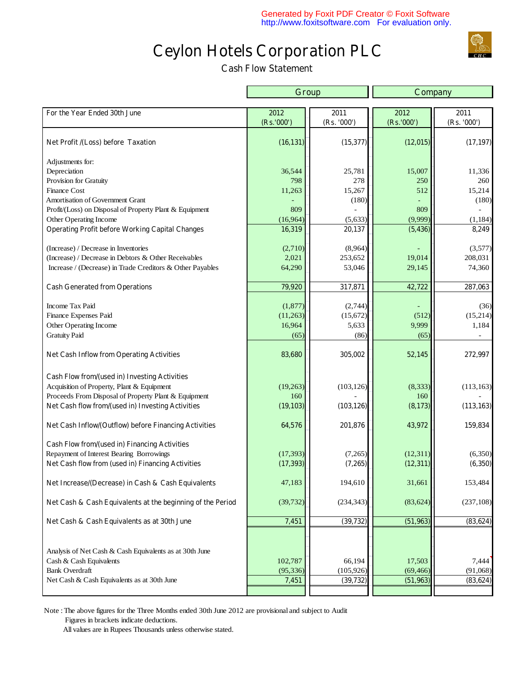**Cash Flow Statement** 

|                                                            |            | Group       | Company     |                |  |
|------------------------------------------------------------|------------|-------------|-------------|----------------|--|
| For the Year Ended 30th June                               | 2012       | 2011        | 2012        | 2011           |  |
|                                                            | (Rs.'000') | (Rs. '000') | (Rs. '000') | (Rs. '000')    |  |
| Net Profit /(Loss) before Taxation                         | (16, 131)  | (15,377)    | (12, 015)   | (17, 197)      |  |
| Adjustments for:                                           |            |             |             |                |  |
| Depreciation                                               | 36,544     | 25,781      | 15,007      | 11,336         |  |
| Provision for Gratuity                                     | 798        | 278         | 250         | 260            |  |
| <b>Finance Cost</b>                                        | 11,263     | 15,267      | 512         | 15,214         |  |
| Amortisation of Government Grant                           |            | (180)       |             | (180)          |  |
| Profit/(Loss) on Disposal of Property Plant & Equipment    | 809        |             | 809         |                |  |
| Other Operating Income                                     | (16,964)   | (5,633)     | (9,999)     | (1, 184)       |  |
| <b>Operating Profit before Working Capital Changes</b>     | 16,319     | 20,137      | (5, 436)    | 8,249          |  |
| (Increase) / Decrease in Inventories                       | (2,710)    | (8,964)     |             | (3,577)        |  |
| (Increase) / Decrease in Debtors & Other Receivables       | 2,021      | 253,652     | 19,014      | 208,031        |  |
| Increase / (Decrease) in Trade Creditors & Other Payables  | 64,290     | 53,046      | 29,145      | 74,360         |  |
| <b>Cash Generated from Operations</b>                      | 79,920     | 317,871     | 42,722      | 287,063        |  |
|                                                            |            |             |             |                |  |
| Income Tax Paid                                            | (1,877)    | (2,744)     |             | (36)           |  |
| Finance Expenses Paid                                      | (11,263)   | (15,672)    | (512)       | (15, 214)      |  |
| Other Operating Income                                     | 16,964     | 5,633       | 9,999       | 1,184          |  |
| <b>Gratuity Paid</b>                                       | (65)       | (86)        | (65)        | $\blacksquare$ |  |
| <b>Net Cash Inflow from Operating Activities</b>           | 83,680     | 305,002     | 52,145      | 272,997        |  |
| Cash Flow from/(used in) Investing Activities              |            |             |             |                |  |
| Acquisition of Property, Plant & Equipment                 | (19, 263)  | (103, 126)  | (8, 333)    | (113, 163)     |  |
| Proceeds From Disposal of Property Plant & Equipment       | 160        |             | 160         |                |  |
| Net Cash flow from/(used in) Investing Activities          | (19, 103)  | (103, 126)  | (8,173)     | (113, 163)     |  |
| Net Cash Inflow/(Outflow) before Financing Activities      | 64,576     | 201,876     | 43,972      | 159,834        |  |
| Cash Flow from/(used in) Financing Activities              |            |             |             |                |  |
| Repayment of Interest Bearing Borrowings                   | (17, 393)  | (7,265)     | (12, 311)   | (6,350)        |  |
| Net Cash flow from (used in) Financing Activities          | (17, 393)  | (7,265)     | (12, 311)   | (6,350)        |  |
| Net Increase/(Decrease) in Cash & Cash Equivalents         | 47,183     | 194,610     | 31,661      | 153,484        |  |
| Net Cash & Cash Equivalents at the beginning of the Period | (39, 732)  | (234, 343)  | (83, 624)   | (237, 108)     |  |
| Net Cash & Cash Equivalents as at 30th June                | 7,451      | (39, 732)   | (51, 963)   | (83, 624)      |  |
|                                                            |            |             |             |                |  |
| Analysis of Net Cash & Cash Equivalents as at 30th June    |            |             |             |                |  |
| Cash & Cash Equivalents                                    | 102,787    | 66,194      | 17,503      | 7,444          |  |
| <b>Bank Overdraft</b>                                      | (95, 336)  | (105, 926)  | (69, 466)   | (91,068)       |  |
| Net Cash & Cash Equivalents as at 30th June                | 7,451      | (39, 732)   | (51, 963)   | (83, 624)      |  |
|                                                            |            |             |             |                |  |

Note : The above figures for the Three Months ended 30th June 2012 are provisional and subject to Audit Figures in brackets indicate deductions.

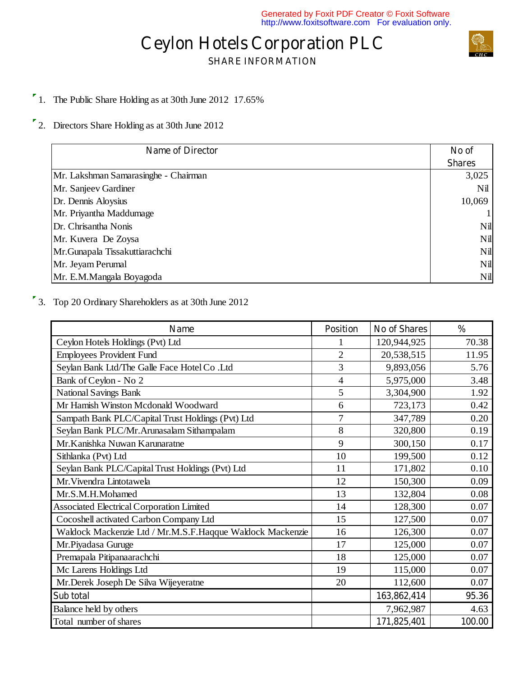# **Ceylon Hotels Corporation PLC SHARE INFORMATION**



1. The Public Share Holding as at 30th June 2012 17.65%

2. Directors Share Holding as at 30th June 2012

| <b>Name of Director</b>              | No of         |
|--------------------------------------|---------------|
|                                      | <b>Shares</b> |
| Mr. Lakshman Samarasinghe - Chairman | 3,025         |
| Mr. Sanjeev Gardiner                 | Nil           |
| Dr. Dennis Aloysius                  | 10,069        |
| Mr. Priyantha Maddumage              |               |
| Dr. Chrisantha Nonis                 | Nil           |
| Mr. Kuvera De Zoysa                  | Nil           |
| Mr.Gunapala Tissakuttiarachchi       | Nil           |
| Mr. Jeyam Perumal                    | Nil           |
| Mr. E.M.Mangala Boyagoda             | Nil           |

3. Top 20 Ordinary Shareholders as at 30th June 2012

| <b>Name</b>                                               | <b>Position</b>          | <b>No of Shares</b> | $\frac{0}{0}$ |
|-----------------------------------------------------------|--------------------------|---------------------|---------------|
| Ceylon Hotels Holdings (Pvt) Ltd                          |                          | 120,944,925         | 70.38         |
| <b>Employees Provident Fund</b>                           | $\overline{2}$           | 20,538,515          | 11.95         |
| Seylan Bank Ltd/The Galle Face Hotel Co.Ltd               | 3                        | 9,893,056           | 5.76          |
| Bank of Ceylon - No 2                                     | $\overline{\mathcal{L}}$ | 5,975,000           | 3.48          |
| <b>National Savings Bank</b>                              | 5                        | 3,304,900           | 1.92          |
| Mr Hamish Winston Mcdonald Woodward                       | 6                        | 723,173             | 0.42          |
| Sampath Bank PLC/Capital Trust Holdings (Pvt) Ltd         | 7                        | 347,789             | 0.20          |
| Seylan Bank PLC/Mr. Arunasalam Sithampalam                | 8                        | 320,800             | 0.19          |
| Mr. Kanishka Nuwan Karunaratne                            | 9                        | 300,150             | 0.17          |
| Sithlanka (Pvt) Ltd                                       | 10                       | 199,500             | 0.12          |
| Seylan Bank PLC/Capital Trust Holdings (Pvt) Ltd          | 11                       | 171,802             | 0.10          |
| Mr. Vivendra Lintotawela                                  | 12                       | 150,300             | 0.09          |
| Mr.S.M.H.Mohamed                                          | 13                       | 132,804             | 0.08          |
| <b>Associated Electrical Corporation Limited</b>          | 14                       | 128,300             | 0.07          |
| Cocoshell activated Carbon Company Ltd                    | 15                       | 127,500             | 0.07          |
| Waldock Mackenzie Ltd / Mr.M.S.F.Haqque Waldock Mackenzie | 16                       | 126,300             | 0.07          |
| Mr.Piyadasa Guruge                                        | 17                       | 125,000             | 0.07          |
| Premapala Pitipanaarachchi                                | 18                       | 125,000             | 0.07          |
| Mc Larens Holdings Ltd                                    | 19                       | 115,000             | 0.07          |
| Mr.Derek Joseph De Silva Wijeyeratne                      | 20                       | 112,600             | 0.07          |
| Sub total                                                 |                          | 163,862,414         | 95.36         |
| Balance held by others                                    |                          | 7,962,987           | 4.63          |
| Total number of shares                                    |                          | 171,825,401         | 100.00        |